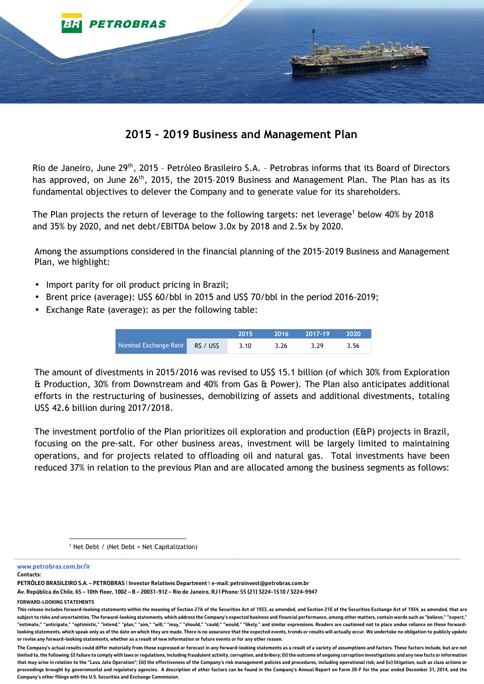

## **2015 – 2019 Business and Management Plan**

Rio de Janeiro, June 29<sup>th</sup>, 2015 - Petróleo Brasileiro S.A. - Petrobras informs that its Board of Directors has approved, on June 26<sup>th</sup>, 2015, the 2015-2019 Business and Management Plan. The Plan has as its fundamental objectives to delever the Company and to generate value for its shareholders.

The Plan projects the return of leverage to the following targets: net leverage<sup>1</sup> below 40% by 2018 and 35% by 2020, and net debt/EBITDA below 3.0x by 2018 and 2.5x by 2020.

Among the assumptions considered in the financial planning of the 2015-2019 Business and Management Plan, we highlight:

- Import parity for oil product pricing in Brazil;
- Brent price (average): US\$ 60/bbl in 2015 and US\$ 70/bbl in the period 2016-2019;
- Exchange Rate (average): as per the following table:

|                                | 2015 | 2016 | 2017-19 | 2020 |
|--------------------------------|------|------|---------|------|
| Nominal Exchange Rate RS / USS | 3.10 | 3.26 | 3.29    | 3.56 |

The amount of divestments in 2015/2016 was revised to US\$ 15.1 billion (of which 30% from Exploration & Production, 30% from Downstream and 40% from Gas & Power). The Plan also anticipates additional efforts in the restructuring of businesses, demobilizing of assets and additional divestments, totaling US\$ 42.6 billion during 2017/2018.

The investment portfolio of the Plan prioritizes oil exploration and production (E&P) projects in Brazil, focusing on the pre-salt. For other business areas, investment will be largely limited to maintaining operations, and for projects related to offloading oil and natural gas. Total investments have been reduced 37% in relation to the previous Plan and are allocated among the business segments as follows:

**www.petrobras.com.br/ir** 

**Contacts:** 

**PETRÓLEO BRASILEIRO S.A. – PETROBRAS | Investor Relations Department I e-mail: petroinvest@petrobras.com.br** 

**FORWARD-LOOKING STATEMENTS** 

<sup>1</sup> Net Debt / (Net Debt + Net Capitalization)

**Av. República do Chile, 65 – 10th floor, 1002 – B – 20031-912 – Rio de Janeiro, RJ | Phone: 55 (21) 3224-1510 / 3224-9947** 

This release includes forward-looking statements within the meaning of Section 27A of the Securities Act of 1933, as amended, and Section 21E of the Securities Exchange Act of 1934, as amended, that are **subject to risks and uncertainties. The forward-looking statements, which address the Company's expected business and financial performance, among other matters, contain words such as "believe," "expect," "estimate," "anticipate," "optimistic," "intend," "plan," "aim," "will," "may," "should," "could," "would," "likely," and similar expressions. Readers are cautioned not to place undue reliance on these forwardlooking statements, which speak only as of the date on which they are made. There is no assurance that the expected events, trends or results will actually occur. We undertake no obligation to publicly update or revise any forward-looking statements, whether as a result of new information or future events or for any other reason.** 

**The Company's actual results could differ materially from those expressed or forecast in any forward-looking statements as a result of a variety of assumptions and factors. These factors include, but are not**  limited to, the following: (i) failure to comply with laws or regulations, including fraudulent activity, corruption, and bribery: (ii) the outcome of ongoing corruption investigations and any new facts or information **that may arise in relation to the "Lava Jato Operation"; (iii) the effectiveness of the Company's risk management policies and procedures, including operational risk; and (iv) litigation, such as class actions or proceedings brought by governmental and regulatory agencies. A description of other factors can be found in the Company's Annual Report on Form 20-F for the year ended December 31, 2014, and the Company's other filings with the U.S. Securities and Exchange Commission.**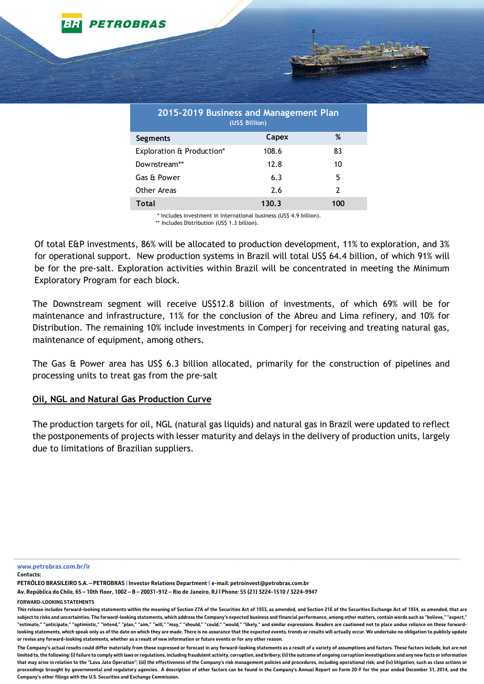| 2015-2019 Business and Management Plan<br>(US\$ Billion) |       |                |  |  |  |
|----------------------------------------------------------|-------|----------------|--|--|--|
| Segments                                                 | Capex | ℅              |  |  |  |
| Exploration & Production*                                | 108.6 | 83             |  |  |  |
| Downstream**                                             | 12.8  | 10             |  |  |  |
| Gas & Power                                              | 6.3   | 5              |  |  |  |
| Other Areas                                              | 2.6   | $\overline{2}$ |  |  |  |
| Total                                                    | 130.3 | 100            |  |  |  |

\* Includes investment in international business (US\$ 4.9 billion).

\*\* Includes Distribution (US\$ 1.3 billion).

Of total E&P investments, 86% will be allocated to production development, 11% to exploration, and 3% for operational support. New production systems in Brazil will total US\$ 64.4 billion, of which 91% will be for the pre-salt. Exploration activities within Brazil will be concentrated in meeting the Minimum Exploratory Program for each block.

The Downstream segment will receive US\$12.8 billion of investments, of which 69% will be for maintenance and infrastructure, 11% for the conclusion of the Abreu and Lima refinery, and 10% for Distribution. The remaining 10% include investments in Comperj for receiving and treating natural gas, maintenance of equipment, among others.

The Gas & Power area has US\$ 6.3 billion allocated, primarily for the construction of pipelines and processing units to treat gas from the pre-salt

## **Oil, NGL and Natural Gas Production Curve**

**ETROBRAS** 

The production targets for oil, NGL (natural gas liquids) and natural gas in Brazil were updated to reflect the postponements of projects with lesser maturity and delays in the delivery of production units, largely due to limitations of Brazilian suppliers.

**www.petrobras.com.br/ir** 

**Contacts:** 

**PETRÓLEO BRASILEIRO S.A. – PETROBRAS | Investor Relations Department I e-mail: petroinvest@petrobras.com.br** 

**Av. República do Chile, 65 – 10th floor, 1002 – B – 20031-912 – Rio de Janeiro, RJ | Phone: 55 (21) 3224-1510 / 3224-9947** 

**FORWARD-LOOKING STATEMENTS** 

This release includes forward-looking statements within the meaning of Section 27A of the Securities Act of 1933, as amended, and Section 21E of the Securities Exchange Act of 1934, as amended, that are **subject to risks and uncertainties. The forward-looking statements, which address the Company's expected business and financial performance, among other matters, contain words such as "believe," "expect," "estimate," "anticipate," "optimistic," "intend," "plan," "aim," "will," "may," "should," "could," "would," "likely," and similar expressions. Readers are cautioned not to place undue reliance on these forwardlooking statements, which speak only as of the date on which they are made. There is no assurance that the expected events, trends or results will actually occur. We undertake no obligation to publicly update or revise any forward-looking statements, whether as a result of new information or future events or for any other reason.** 

**The Company's actual results could differ materially from those expressed or forecast in any forward-looking statements as a result of a variety of assumptions and factors. These factors include, but are not**  limited to, the following: (i) failure to comply with laws or regulations, including fraudulent activity, corruption, and bribery: (ii) the outcome of ongoing corruption investigations and any new facts or information **that may arise in relation to the "Lava Jato Operation"; (iii) the effectiveness of the Company's risk management policies and procedures, including operational risk; and (iv) litigation, such as class actions or proceedings brought by governmental and regulatory agencies. A description of other factors can be found in the Company's Annual Report on Form 20-F for the year ended December 31, 2014, and the Company's other filings with the U.S. Securities and Exchange Commission.**